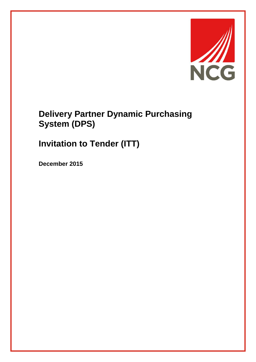

# **Delivery Partner Dynamic Purchasing System (DPS)**

# **Invitation to Tender (ITT)**

**December 2015**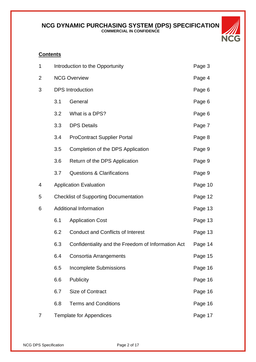

#### **Contents**

| 1              | Introduction to the Opportunity |                                                    | Page 3  |
|----------------|---------------------------------|----------------------------------------------------|---------|
| $\overline{2}$ |                                 | <b>NCG Overview</b>                                |         |
| 3              | <b>DPS</b> Introduction         |                                                    | Page 6  |
|                | 3.1                             | General                                            | Page 6  |
|                | 3.2                             | What is a DPS?                                     | Page 6  |
|                | 3.3                             | <b>DPS Details</b>                                 | Page 7  |
|                | 3.4                             | <b>ProContract Supplier Portal</b>                 | Page 8  |
|                | 3.5                             | Completion of the DPS Application                  | Page 9  |
|                | 3.6                             | Return of the DPS Application                      | Page 9  |
|                | 3.7                             | <b>Questions &amp; Clarifications</b>              | Page 9  |
| 4              |                                 | <b>Application Evaluation</b>                      | Page 10 |
| 5              |                                 | <b>Checklist of Supporting Documentation</b>       |         |
| 6              | <b>Additional Information</b>   |                                                    | Page 13 |
|                | 6.1                             | <b>Application Cost</b>                            | Page 13 |
|                | 6.2                             | <b>Conduct and Conflicts of Interest</b>           | Page 13 |
|                | 6.3                             | Confidentiality and the Freedom of Information Act | Page 14 |
|                | 6.4                             | Consortia Arrangements                             | Page 15 |
|                | 6.5                             | <b>Incomplete Submissions</b>                      | Page 16 |
|                | 6.6                             | <b>Publicity</b>                                   | Page 16 |
|                | 6.7                             | Size of Contract                                   | Page 16 |
|                | 6.8                             | <b>Terms and Conditions</b>                        | Page 16 |
| $\overline{7}$ | <b>Template for Appendices</b>  |                                                    | Page 17 |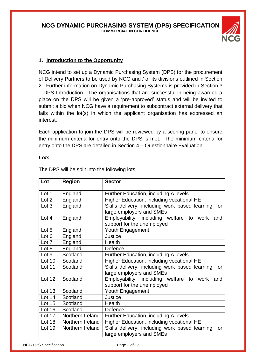

# **1. Introduction to the Opportunity**

NCG intend to set up a Dynamic Purchasing System (DPS) for the procurement of Delivery Partners to be used by NCG and / or its divisions outlined in Section 2. Further information on Dynamic Purchasing Systems is provided in Section 3 – DPS Introduction. The organisations that are successful in being awarded a place on the DPS will be given a 'pre-approved' status and will be invited to submit a bid when NCG have a requirement to subcontract external delivery that falls within the lot(s) in which the applicant organisation has expressed an interest.

Each application to join the DPS will be reviewed by a scoring panel to ensure the minimum criteria for entry onto the DPS is met. The minimum criteria for entry onto the DPS are detailed in Section 4 – Questionnaire Evaluation

#### *Lots*

| Lot           | Region           | <b>Sector</b>                                                                   |
|---------------|------------------|---------------------------------------------------------------------------------|
| Lot 1         | England          | Further Education, including A levels                                           |
| Lot 2         | England          | Higher Education, including vocational HE                                       |
| Lot 3         | England          | Skills delivery, including work based learning, for<br>large employers and SMEs |
| Lot 4         | England          | Employability, including welfare to work and<br>support for the unemployed      |
| Lot 5         | England          | Youth Engagement                                                                |
| Lot 6         | England          | <b>Justice</b>                                                                  |
| Lot 7         | England          | Health                                                                          |
| Lot 8         | England          | Defence                                                                         |
| Lot 9         | Scotland         | Further Education, including A levels                                           |
| Lot 10        | Scotland         | Higher Education, including vocational HE                                       |
| Lot 11        | Scotland         | Skills delivery, including work based learning, for<br>large employers and SMEs |
| <b>Lot 12</b> | Scotland         | Employability, including welfare to work and<br>support for the unemployed      |
| <b>Lot 13</b> | Scotland         | Youth Engagement                                                                |
| Lot 14        | Scotland         | Justice                                                                         |
| Lot 15        | Scotland         | Health                                                                          |
| Lot 16        | Scotland         | Defence                                                                         |
| Lot 17        | Northern Ireland | Further Education, including A levels                                           |
| Lot 18        | Northern Ireland | Higher Education, including vocational HE                                       |
| Lot 19        | Northern Ireland | Skills delivery, including work based learning, for<br>large employers and SMEs |

The DPS will be split into the following lots: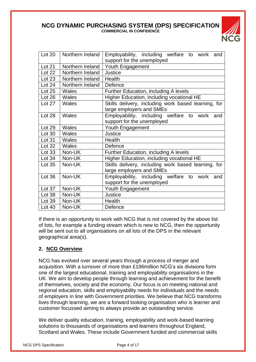

| Lot 20        | Northern Ireland | Employability, including welfare to work and        |
|---------------|------------------|-----------------------------------------------------|
|               |                  | support for the unemployed                          |
| <b>Lot 21</b> | Northern Ireland | Youth Engagement                                    |
| Lot 22        | Northern Ireland | Justice                                             |
| Lot 23        | Northern Ireland | Health                                              |
| Lot 24        | Northern Ireland | Defence                                             |
| Lot 25        | Wales            | Further Education, including A levels               |
| Lot 26        | Wales            | Higher Education, including vocational HE           |
| Lot 27        | Wales            | Skills delivery, including work based learning, for |
|               |                  | large employers and SMEs                            |
| Lot 28        | Wales            | Employability, including welfare to work and        |
|               |                  | support for the unemployed                          |
| Lot 29        | Wales            | Youth Engagement                                    |
| Lot 30        | Wales            | <b>Justice</b>                                      |
| Lot 31        | Wales            | Health                                              |
| <b>Lot 32</b> | Wales            | Defence                                             |
| <b>Lot 33</b> | Non-UK           | Further Education, including A levels               |
| Lot 34        | Non-UK           | Higher Education, including vocational HE           |
| Lot 35        | Non-UK           | Skills delivery, including work based learning, for |
|               |                  | large employers and SMEs                            |
| Lot 36        | Non-UK           | Employability, including welfare to work and        |
|               |                  | support for the unemployed                          |
| Lot 37        | Non-UK           | Youth Engagement                                    |
| Lot 38        | Non-UK           | Justice                                             |
| Lot 39        | Non-UK           | Health                                              |
| Lot 40        | Non-UK           | Defence                                             |

If there is an opportunity to work with NCG that is not covered by the above list of lots, for example a funding stream which is new to NCG, then the opportunity will be sent out to all organisations on all lots of the DPS in the relevant geographical area(s).

# **2. NCG Overview**

NCG has evolved over several years through a process of merger and acquisition. With a turnover of more than £196million NCG's six divisions form one of the largest educational, training and employability organisations in the UK. We aim to develop people through learning and achievement for the benefit of themselves, society and the economy. Our focus is on meeting national and regional education, skills and employability needs for individuals and the needs of employers in line with Government priorities. We believe that NCG transforms lives through learning, we are a forward looking organisation who is learner and customer focussed aiming to always provide an outstanding service.

We deliver quality education, training, employability and work-based learning solutions to thousands of organisations and learners throughout England, Scotland and Wales. These include Government funded and commercial skills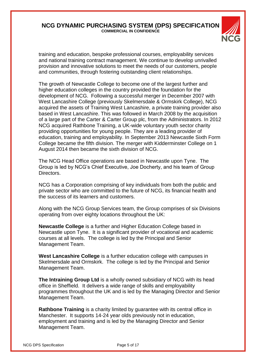

training and education, bespoke professional courses, employability services and national training contract management. We continue to develop unrivalled provision and innovative solutions to meet the needs of our customers, people and communities, through fostering outstanding client relationships.

The growth of Newcastle College to become one of the largest further and higher education colleges in the country provided the foundation for the development of NCG. Following a successful merger in December 2007 with West Lancashire College (previously Skelmersdale & Ormskirk College), NCG acquired the assets of Training West Lancashire, a private training provider also based in West Lancashire. This was followed in March 2008 by the acquisition of a large part of the Carter & Carter Group plc, from the Administrators. In 2012 NCG acquired Rathbone Training, a UK-wide voluntary youth sector charity providing opportunities for young people. They are a leading provider of education, training and employability. In September 2013 Newcastle Sixth Form College became the fifth division. The merger with Kidderminster College on 1 August 2014 then became the sixth division of NCG.

The NCG Head Office operations are based in Newcastle upon Tyne. The Group is led by NCG's Chief Executive, Joe Docherty, and his team of Group Directors.

NCG has a Corporation comprising of key individuals from both the public and private sector who are committed to the future of NCG, its financial health and the success of its learners and customers.

Along with the NCG Group Services team, the Group comprises of six Divisions operating from over eighty locations throughout the UK:

**Newcastle College** is a further and Higher Education College based in Newcastle upon Tyne. It is a significant provider of vocational and academic courses at all levels. The college is led by the Principal and Senior Management Team.

**West Lancashire College** is a further education college with campuses in Skelmersdale and Ormskirk. The college is led by the Principal and Senior Management Team.

**The Intraining Group Ltd** is a wholly owned subsidiary of NCG with its head office in Sheffield. It delivers a wide range of skills and employability programmes throughout the UK and is led by the Managing Director and Senior Management Team.

**Rathbone Training** is a charity limited by guarantee with its central office in Manchester. It supports 14-24 year olds previously not in education, employment and training and is led by the Managing Director and Senior Management Team.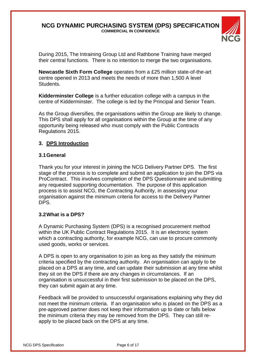

During 2015, The Intraining Group Ltd and Rathbone Training have merged their central functions. There is no intention to merge the two organisations.

**Newcastle Sixth Form College** operates from a £25 million state-of-the-art centre opened in 2013 and meets the needs of more than 1,500 A level Students.

**Kidderminster College** is a further education college with a campus in the centre of Kidderminster. The college is led by the Principal and Senior Team.

As the Group diversifies, the organisations within the Group are likely to change. This DPS shall apply for all organisations within the Group at the time of any opportunity being released who must comply with the Public Contracts Regulations 2015.

# **3. DPS Introduction**

#### **3.1General**

Thank you for your interest in joining the NCG Delivery Partner DPS. The first stage of the process is to complete and submit an application to join the DPS via ProContract. This involves completion of the DPS Questionnaire and submitting any requested supporting documentation. The purpose of this application process is to assist NCG, the Contracting Authority, in assessing your organisation against the minimum criteria for access to the Delivery Partner DPS.

#### **3.2What is a DPS?**

A Dynamic Purchasing System (DPS) is a recognised procurement method within the UK Public Contract Regulations 2015. It is an electronic system which a contracting authority, for example NCG, can use to procure commonly used goods, works or services.

A DPS is open to any organisation to join as long as they satisfy the minimum criteria specified by the contracting authority. An organisation can apply to be placed on a DPS at any time, and can update their submission at any time whilst they sit on the DPS if there are any changes in circumstances. If an organisation is unsuccessful in their first submission to be placed on the DPS, they can submit again at any time.

Feedback will be provided to unsuccessful organisations explaining why they did not meet the minimum criteria. If an organisation who is placed on the DPS as a pre-approved partner does not keep their information up to date or falls below the minimum criteria they may be removed from the DPS. They can still reapply to be placed back on the DPS at any time.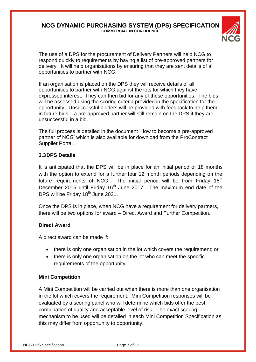

The use of a DPS for the procurement of Delivery Partners will help NCG to respond quickly to requirements by having a list of pre-approved partners for delivery. It will help organisations by ensuring that they are sent details of all opportunities to partner with NCG.

If an organisation is placed on the DPS they will receive details of all opportunities to partner with NCG against the lots for which they have expressed interest. They can then bid for any of these opportunities. The bids will be assessed using the scoring criteria provided in the specification for the opportunity. Unsuccessful bidders will be provided with feedback to help them in future bids – a pre-approved partner will still remain on the DPS if they are unsuccessful in a bid.

The full process is detailed in the document 'How to become a pre-approved partner of NCG' which is also available for download from the ProContract Supplier Portal.

#### **3.3DPS Details**

It is anticipated that the DPS will be in place for an initial period of 18 months with the option to extend for a further four 12 month periods depending on the future requirements of NCG. The initial period will be from Friday  $18<sup>th</sup>$ December 2015 until Friday 16<sup>th</sup> June 2017. The maximum end date of the DPS will be Friday 18<sup>th</sup> June 2021.

Once the DPS is in place, when NCG have a requirement for delivery partners, there will be two options for award – Direct Award and Further Competition.

#### **Direct Award**

A direct award can be made if:

- there is only one organisation in the lot which covers the requirement; or
- there is only one organisation on the lot who can meet the specific requirements of the opportunity.

#### **Mini Competition**

A Mini Competition will be carried out when there is more than one organisation in the lot which covers the requirement. Mini Competition responses will be evaluated by a scoring panel who will determine which bids offer the best combination of quality and acceptable level of risk. The exact scoring mechanism to be used will be detailed in each Mini Competition Specification as this may differ from opportunity to opportunity.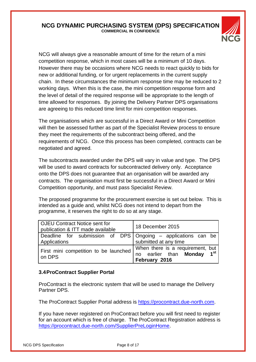

NCG will always give a reasonable amount of time for the return of a mini competition response, which in most cases will be a minimum of 10 days. However there may be occasions where NCG needs to react quickly to bids for new or additional funding, or for urgent replacements in the current supply chain. In these circumstances the minimum response time may be reduced to 2 working days. When this is the case, the mini competition response form and the level of detail of the required response will be appropriate to the length of time allowed for responses. By joining the Delivery Partner DPS organisations are agreeing to this reduced time limit for mini competition responses.

The organisations which are successful in a Direct Award or Mini Competition will then be assessed further as part of the Specialist Review process to ensure they meet the requirements of the subcontract being offered, and the requirements of NCG. Once this process has been completed, contracts can be negotiated and agreed.

The subcontracts awarded under the DPS will vary in value and type. The DPS will be used to award contracts for subcontracted delivery only. Acceptance onto the DPS does not guarantee that an organisation will be awarded any contracts. The organisation must first be successful in a Direct Award or Mini Competition opportunity, and must pass Specialist Review.

The proposed programme for the procurement exercise is set out below. This is intended as a guide and, whilst NCG does not intend to depart from the programme, it reserves the right to do so at any stage.

| <b>OJEU Contract Notice sent for</b><br>publication & ITT made available       | 18 December 2015                                                                                   |  |
|--------------------------------------------------------------------------------|----------------------------------------------------------------------------------------------------|--|
| Deadline for submission of DPS   Ongoing – applications can be<br>Applications | submitted at any time                                                                              |  |
| First mini competition to be launched<br>on DPS                                | When there is a requirement, but<br>no earlier than <b>Mondav</b> 1 <sup>st</sup><br>February 2016 |  |

#### **3.4ProContract Supplier Portal**

ProContract is the electronic system that will be used to manage the Delivery Partner DPS.

The ProContract Supplier Portal address is [https://procontract.due-north.com.](https://procontract.due-north.com/)

If you have never registered on ProContract before you will first need to register for an account which is free of charge. The ProContract Registration address is [https://procontract.due-north.com/SupplierPreLoginHome.](https://procontract.due-north.com/SupplierPreLoginHome)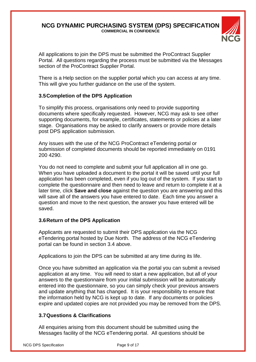

All applications to join the DPS must be submitted the ProContract Supplier Portal. All questions regarding the process must be submitted via the Messages section of the ProContract Supplier Portal.

There is a Help section on the supplier portal which you can access at any time. This will give you further guidance on the use of the system.

# **3.5Completion of the DPS Application**

To simplify this process, organisations only need to provide supporting documents where specifically requested. However, NCG may ask to see other supporting documents, for example, certificates, statements or policies at a later stage. Organisations may be asked to clarify answers or provide more details post DPS application submission.

Any issues with the use of the NCG ProContract eTendering portal or submission of completed documents should be reported immediately on 0191 200 4290.

You do not need to complete and submit your full application all in one go. When you have uploaded a document to the portal it will be saved until your full application has been completed, even if you log out of the system. If you start to complete the questionnaire and then need to leave and return to complete it at a later time, click **Save and close** against the question you are answering and this will save all of the answers you have entered to date. Each time you answer a question and move to the next question, the answer you have entered will be saved.

#### **3.6Return of the DPS Application**

Applicants are requested to submit their DPS application via the NCG eTendering portal hosted by Due North. The address of the NCG eTendering portal can be found in section 3.4 above.

Applications to join the DPS can be submitted at any time during its life.

Once you have submitted an application via the portal you can submit a revised application at any time. You will need to start a new application, but all of your answers to the questionnaire from your initial submission will be automatically entered into the questionnaire, so you can simply check your previous answers and update anything that has changed. It is your responsibility to ensure that the information held by NCG is kept up to date. If any documents or policies expire and updated copies are not provided you may be removed from the DPS.

# **3.7Questions & Clarifications**

All enquiries arising from this document should be submitted using the Messages facility of the NCG eTendering portal. All questions should be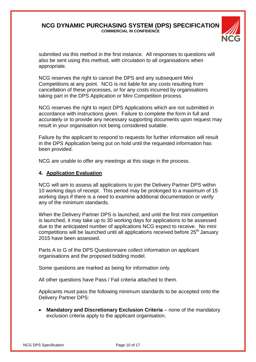

submitted via this method in the first instance. All responses to questions will also be sent using this method, with circulation to all organisations when appropriate.

NCG reserves the right to cancel the DPS and any subsequent Mini Competitions at any point. NCG is not liable for any costs resulting from cancellation of these processes, or for any costs incurred by organisations taking part in the DPS Application or Mini Competition process.

NCG reserves the right to reject DPS Applications which are not submitted in accordance with instructions given. Failure to complete the form in full and accurately or to provide any necessary supporting documents upon request may result in your organisation not being considered suitable.

Failure by the applicant to respond to requests for further information will result in the DPS Application being put on hold until the requested information has been provided.

NCG are unable to offer any meetings at this stage in the process.

#### **4. Application Evaluation**

NCG will aim to assess all applications to join the Delivery Partner DPS within 10 working days of receipt. This period may be prolonged to a maximum of 15 working days if there is a need to examine additional documentation or verify any of the minimum standards.

When the Delivery Partner DPS is launched, and until the first mini competition is launched, it may take up to 30 working days for applications to be assessed due to the anticipated number of applications NCG expect to receive. No mini competitions will be launched until all applications received before 25<sup>th</sup> January 2015 have been assessed.

Parts A to G of the DPS Questionnaire collect information on applicant organisations and the proposed bidding model.

Some questions are marked as being for information only.

All other questions have Pass / Fail criteria attached to them.

Applicants must pass the following minimum standards to be accepted onto the Delivery Partner DPS:

**Mandatory and Discretionary Exclusion Criteria** – none of the mandatory exclusion criteria apply to the applicant organisation.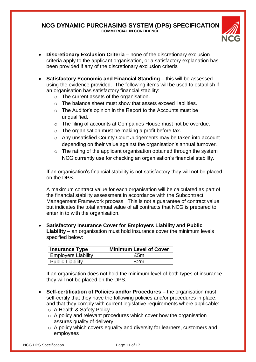

- **Discretionary Exclusion Criteria** none of the discretionary exclusion criteria apply to the applicant organisation, or a satisfactory explanation has been provided if any of the discretionary exclusion criteria
- **Satisfactory Economic and Financial Standing** this will be assessed using the evidence provided. The following items will be used to establish if an organisation has satisfactory financial stability:
	- o The current assets of the organisation.
	- o The balance sheet must show that assets exceed liabilities.
	- o The Auditor's opinion in the Report to the Accounts must be unqualified.
	- o The filing of accounts at Companies House must not be overdue.
	- o The organisation must be making a profit before tax.
	- o Any unsatisfied County Court Judgements may be taken into account depending on their value against the organisation's annual turnover.
	- o The rating of the applicant organisation obtained through the system NCG currently use for checking an organisation's financial stability.

If an organisation's financial stability is not satisfactory they will not be placed on the DPS.

A maximum contract value for each organisation will be calculated as part of the financial stability assessment in accordance with the Subcontract Management Framework process. This is not a guarantee of contract value but indicates the total annual value of all contracts that NCG is prepared to enter in to with the organisation.

 **Satisfactory Insurance Cover for Employers Liability and Public Liability** – an organisation must hold insurance cover the minimum levels specified below:

| <b>Insurance Type</b>      | <b>Minimum Level of Cover</b> |
|----------------------------|-------------------------------|
| <b>Employers Liability</b> | £5m                           |
| Public Liability           | £2m                           |

If an organisation does not hold the minimum level of both types of insurance they will not be placed on the DPS.

- **Self-certification of Policies and/or Procedures** the organisation must self-certify that they have the following policies and/or procedures in place, and that they comply with current legislative requirements where applicable:
	- o A Health & Safety Policy
	- o A policy and relevant procedures which cover how the organisation assures quality of delivery
	- o A policy which covers equality and diversity for learners, customers and employees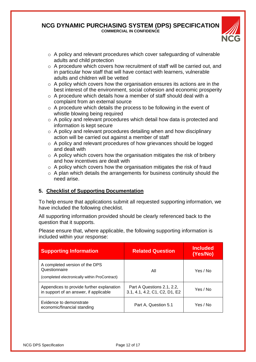

- $\circ$  A policy and relevant procedures which cover safeguarding of vulnerable adults and child protection
- $\circ$  A procedure which covers how recruitment of staff will be carried out, and in particular how staff that will have contact with learners, vulnerable adults and children will be vetted
- $\circ$  A policy which covers how the organisation ensures its actions are in the best interest of the environment, social cohesion and economic prosperity
- $\circ$  A procedure which details how a member of staff should deal with a complaint from an external source
- $\circ$  A procedure which details the process to be following in the event of whistle blowing being required
- o A policy and relevant procedures which detail how data is protected and information is kept secure
- $\circ$  A policy and relevant procedures detailing when and how disciplinary action will be carried out against a member of staff
- o A policy and relevant procedures of how grievances should be logged and dealt with
- $\circ$  A policy which covers how the organisation mitigates the risk of bribery and how incentives are dealt with
- $\circ$  A policy which covers how the organisation mitigates the risk of fraud
- $\circ$  A plan which details the arrangements for business continuity should the need arise.

# **5. Checklist of Supporting Documentation**

To help ensure that applications submit all requested supporting information, we have included the following checklist.

All supporting information provided should be clearly referenced back to the question that it supports.

Please ensure that, where applicable, the following supporting information is included within your response:

| <b>Supporting Information</b>                                                                    | <b>Related Question</b>                                     | <b>Included</b><br>(Yes/No) |
|--------------------------------------------------------------------------------------------------|-------------------------------------------------------------|-----------------------------|
| A completed version of the DPS<br>Questionnaire<br>(completed electronically within ProContract) | All                                                         | Yes / No                    |
| Appendices to provide further explanation<br>in support of an answer, if applicable              | Part A Questions 2.1, 2.2,<br>3.1, 4.1, 4.2, C1, C2, D1, E2 | Yes / No                    |
| Evidence to demonstrate<br>economic/financial standing                                           | Part A, Question 5.1                                        | Yes / No                    |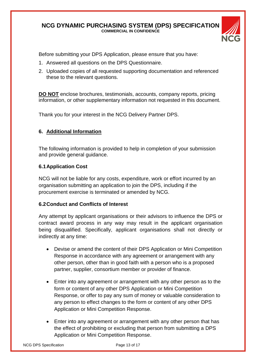

Before submitting your DPS Application, please ensure that you have:

- 1. Answered all questions on the DPS Questionnaire.
- 2. Uploaded copies of all requested supporting documentation and referenced these to the relevant questions.

**DO NOT** enclose brochures, testimonials, accounts, company reports, pricing information, or other supplementary information not requested in this document.

Thank you for your interest in the NCG Delivery Partner DPS.

# **6. Additional Information**

The following information is provided to help in completion of your submission and provide general guidance.

# **6.1Application Cost**

NCG will not be liable for any costs, expenditure, work or effort incurred by an organisation submitting an application to join the DPS, including if the procurement exercise is terminated or amended by NCG.

# **6.2Conduct and Conflicts of Interest**

Any attempt by applicant organisations or their advisors to influence the DPS or contract award process in any way may result in the applicant organisation being disqualified. Specifically, applicant organisations shall not directly or indirectly at any time:

- Devise or amend the content of their DPS Application or Mini Competition Response in accordance with any agreement or arrangement with any other person, other than in good faith with a person who is a proposed partner, supplier, consortium member or provider of finance.
- Enter into any agreement or arrangement with any other person as to the form or content of any other DPS Application or Mini Competition Response, or offer to pay any sum of money or valuable consideration to any person to effect changes to the form or content of any other DPS Application or Mini Competition Response.
- Enter into any agreement or arrangement with any other person that has the effect of prohibiting or excluding that person from submitting a DPS Application or Mini Competition Response.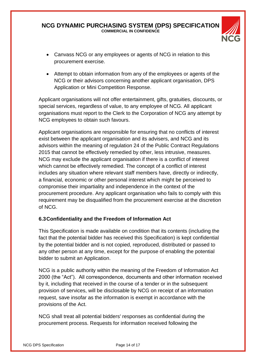

- Canvass NCG or any employees or agents of NCG in relation to this procurement exercise.
- Attempt to obtain information from any of the employees or agents of the NCG or their advisors concerning another applicant organisation, DPS Application or Mini Competition Response.

Applicant organisations will not offer entertainment, gifts, gratuities, discounts, or special services, regardless of value, to any employee of NCG. All applicant organisations must report to the Clerk to the Corporation of NCG any attempt by NCG employees to obtain such favours.

Applicant organisations are responsible for ensuring that no conflicts of interest exist between the applicant organisation and its advisers, and NCG and its advisors within the meaning of regulation 24 of the Public Contract Regulations 2015 that cannot be effectively remedied by other, less intrusive, measures. NCG may exclude the applicant organisation if there is a conflict of interest which cannot be effectively remedied. The concept of a conflict of interest includes any situation where relevant staff members have, directly or indirectly, a financial, economic or other personal interest which might be perceived to compromise their impartiality and independence in the context of the procurement procedure. Any applicant organisation who fails to comply with this requirement may be disqualified from the procurement exercise at the discretion of NCG.

# **6.3Confidentiality and the Freedom of Information Act**

This Specification is made available on condition that its contents (including the fact that the potential bidder has received this Specification) is kept confidential by the potential bidder and is not copied, reproduced, distributed or passed to any other person at any time, except for the purpose of enabling the potential bidder to submit an Application.

NCG is a public authority within the meaning of the Freedom of Information Act 2000 (the "Act"). All correspondence, documents and other information received by it, including that received in the course of a tender or in the subsequent provision of services, will be disclosable by NCG on receipt of an information request, save insofar as the information is exempt in accordance with the provisions of the Act.

NCG shall treat all potential bidders' responses as confidential during the procurement process. Requests for information received following the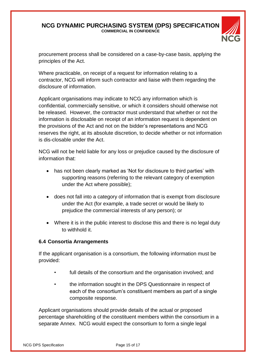

procurement process shall be considered on a case-by-case basis, applying the principles of the Act.

Where practicable, on receipt of a request for information relating to a contractor, NCG will inform such contractor and liaise with them regarding the disclosure of information.

Applicant organisations may indicate to NCG any information which is confidential, commercially sensitive, or which it considers should otherwise not be released. However, the contractor must understand that whether or not the information is disclosable on receipt of an information request is dependent on the provisions of the Act and not on the bidder's representations and NCG reserves the right, at its absolute discretion, to decide whether or not information is dis-closable under the Act.

NCG will not be held liable for any loss or prejudice caused by the disclosure of information that:

- has not been clearly marked as 'Not for disclosure to third parties' with supporting reasons (referring to the relevant category of exemption under the Act where possible);
- does not fall into a category of information that is exempt from disclosure under the Act (for example, a trade secret or would be likely to prejudice the commercial interests of any person); or
- Where it is in the public interest to disclose this and there is no legal duty to withhold it.

# **6.4 Consortia Arrangements**

If the applicant organisation is a consortium, the following information must be provided:

- full details of the consortium and the organisation involved; and
- the information sought in the DPS Questionnaire in respect of each of the consortium's constituent members as part of a single composite response.

Applicant organisations should provide details of the actual or proposed percentage shareholding of the constituent members within the consortium in a separate Annex. NCG would expect the consortium to form a single legal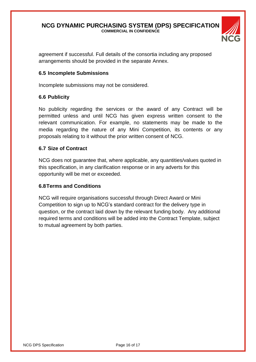

agreement if successful. Full details of the consortia including any proposed arrangements should be provided in the separate Annex.

# **6.5 Incomplete Submissions**

Incomplete submissions may not be considered.

#### **6.6 Publicity**

No publicity regarding the services or the award of any Contract will be permitted unless and until NCG has given express written consent to the relevant communication. For example, no statements may be made to the media regarding the nature of any Mini Competition, its contents or any proposals relating to it without the prior written consent of NCG.

#### **6.7 Size of Contract**

NCG does not guarantee that, where applicable, any quantities/values quoted in this specification, in any clarification response or in any adverts for this opportunity will be met or exceeded.

#### **6.8Terms and Conditions**

NCG will require organisations successful through Direct Award or Mini Competition to sign up to NCG's standard contract for the delivery type in question, or the contract laid down by the relevant funding body. Any additional required terms and conditions will be added into the Contract Template, subject to mutual agreement by both parties.